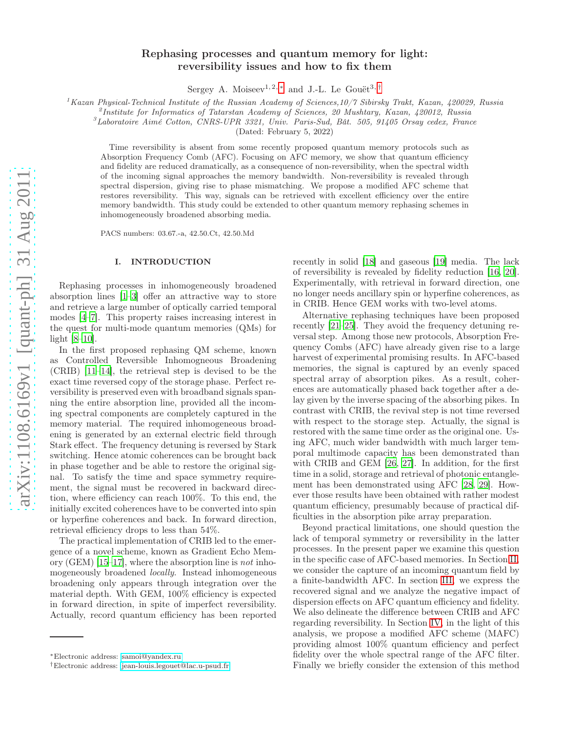# Rephasing processes and quantum memory for light: reversibility issues and how to fix them

Sergey A. Moiseev<sup>1, 2, \*</sup> and J.-L. Le Gouët<sup>3, [†](#page-0-1)</sup>

<sup>1</sup>Kazan Physical-Technical Institute of the Russian Academy of Sciences,10/7 Sibirsky Trakt, Kazan, 420029, Russia

<sup>2</sup> Institute for Informatics of Tatarstan Academy of Sciences, 20 Mushtary, Kazan, 420012, Russia

 ${}^{3}$ Laboratoire Aimé Cotton, CNRS-UPR 3321, Univ. Paris-Sud, Bât. 505, 91405 Orsay cedex, France

(Dated: February 5, 2022)

Time reversibility is absent from some recently proposed quantum memory protocols such as Absorption Frequency Comb (AFC). Focusing on AFC memory, we show that quantum efficiency and fidelity are reduced dramatically, as a consequence of non-reversibility, when the spectral width of the incoming signal approaches the memory bandwidth. Non-reversibility is revealed through spectral dispersion, giving rise to phase mismatching. We propose a modified AFC scheme that restores reversibility. This way, signals can be retrieved with excellent efficiency over the entire memory bandwidth. This study could be extended to other quantum memory rephasing schemes in inhomogeneously broadened absorbing media.

PACS numbers: 03.67.-a, 42.50.Ct, 42.50.Md

# I. INTRODUCTION

Rephasing processes in inhomogeneously broadened absorption lines [\[1](#page-6-0)[–3](#page-6-1)] offer an attractive way to store and retrieve a large number of optically carried temporal modes [\[4](#page-6-2)[–7](#page-6-3)]. This property raises increasing interest in the quest for multi-mode quantum memories (QMs) for light [\[8](#page-6-4)[–10\]](#page-6-5).

In the first proposed rephasing QM scheme, known as Controlled Reversible Inhomogneous Broadening (CRIB) [\[11](#page-6-6)[–14](#page-6-7)], the retrieval step is devised to be the exact time reversed copy of the storage phase. Perfect reversibility is preserved even with broadband signals spanning the entire absorption line, provided all the incoming spectral components are completely captured in the memory material. The required inhomogeneous broadening is generated by an external electric field through Stark effect. The frequency detuning is reversed by Stark switching. Hence atomic coherences can be brought back in phase together and be able to restore the original signal. To satisfy the time and space symmetry requirement, the signal must be recovered in backward direction, where efficiency can reach 100%. To this end, the initially excited coherences have to be converted into spin or hyperfine coherences and back. In forward direction, retrieval efficiency drops to less than 54%.

The practical implementation of CRIB led to the emergence of a novel scheme, known as Gradient Echo Memory (GEM) [\[15](#page-6-8)[–17](#page-6-9)], where the absorption line is not inhomogeneously broadened locally. Instead inhomogeneous broadening only appears through integration over the material depth. With GEM, 100% efficiency is expected in forward direction, in spite of imperfect reversibility. Actually, record quantum efficiency has been reported

recently in solid [\[18\]](#page-6-10) and gaseous [\[19](#page-6-11)] media. The lack of reversibility is revealed by fidelity reduction [\[16,](#page-6-12) [20\]](#page-6-13). Experimentally, with retrieval in forward direction, one no longer needs ancillary spin or hyperfine coherences, as in CRIB. Hence GEM works with two-level atoms.

Alternative rephasing techniques have been proposed recently [\[21](#page-6-14)[–25\]](#page-6-15). They avoid the frequency detuning reversal step. Among those new protocols, Absorption Frequency Combs (AFC) have already given rise to a large harvest of experimental promising results. In AFC-based memories, the signal is captured by an evenly spaced spectral array of absorption pikes. As a result, coherences are automatically phased back together after a delay given by the inverse spacing of the absorbing pikes. In contrast with CRIB, the revival step is not time reversed with respect to the storage step. Actually, the signal is restored with the same time order as the original one. Using AFC, much wider bandwidth with much larger temporal multimode capacity has been demonstrated than with CRIB and GEM [\[26,](#page-6-16) [27](#page-6-17)]. In addition, for the first time in a solid, storage and retrieval of photonic entanglement has been demonstrated using AFC [\[28,](#page-6-18) [29](#page-6-19)]. However those results have been obtained with rather modest quantum efficiency, presumably because of practical difficulties in the absorption pike array preparation.

Beyond practical limitations, one should question the lack of temporal symmetry or reversibility in the latter processes. In the present paper we examine this question in the specific case of AFC-based memories. In Section [II,](#page-1-0) we consider the capture of an incoming quantum field by a finite-bandwidth AFC. In section [III,](#page-2-0) we express the recovered signal and we analyze the negative impact of dispersion effects on AFC quantum efficiency and fidelity. We also delineate the difference between CRIB and AFC regarding reversibility. In Section [IV,](#page-4-0) in the light of this analysis, we propose a modified AFC scheme (MAFC) providing almost 100% quantum efficiency and perfect fidelity over the whole spectral range of the AFC filter. Finally we briefly consider the extension of this method

<span id="page-0-0"></span><sup>∗</sup>Electronic address: [samoi@yandex.ru](mailto:samoi@yandex.ru)

<span id="page-0-1"></span><sup>†</sup>Electronic address: [jean-louis.legouet@lac.u-psud.fr](mailto:jean-louis.legouet@lac.u-psud.fr)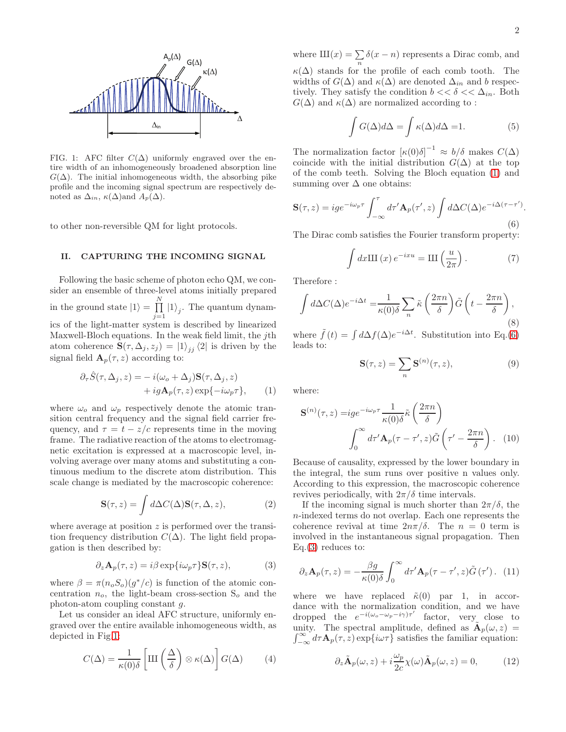

<span id="page-1-1"></span>FIG. 1: AFC filter  $C(\Delta)$  uniformly engraved over the entire width of an inhomogeneously broadened absorption line  $G(\Delta)$ . The initial inhomogeneous width, the absorbing pike profile and the incoming signal spectrum are respectively denoted as  $\Delta_{in}$ ,  $\kappa(\Delta)$  and  $A_p(\Delta)$ .

to other non-reversible QM for light protocols.

# <span id="page-1-0"></span>II. CAPTURING THE INCOMING SIGNAL

Following the basic scheme of photon echo QM, we consider an ensemble of three-level atoms initially prepared in the ground state  $|1\rangle = \prod_{n=1}^{N}$  $\prod_{j=1} |1\rangle_j$ . The quantum dynamics of the light-matter system is described by linearized Maxwell-Bloch equations. In the weak field limit, the jth atom coherence  $\mathbf{S}(\tau, \Delta_j, z_j) = |1\rangle_{jj} \langle 2|$  is driven by the signal field  $\mathbf{A}_p(\tau,z)$  according to:

$$
\partial_{\tau}\hat{S}(\tau,\Delta_j,z) = -i(\omega_o + \Delta_j)\mathbf{S}(\tau,\Delta_j,z) \n+ ig\mathbf{A}_p(\tau,z) \exp{-i\omega_p\tau}, \qquad (1)
$$

where  $\omega_o$  and  $\omega_p$  respectively denote the atomic transition central frequency and the signal field carrier frequency, and  $\tau = t - z/c$  represents time in the moving frame. The radiative reaction of the atoms to electromagnetic excitation is expressed at a macroscopic level, involving average over many atoms and substituting a continuous medium to the discrete atom distribution. This scale change is mediated by the macroscopic coherence:

$$
\mathbf{S}(\tau,z) = \int d\Delta C(\Delta) \mathbf{S}(\tau,\Delta,z),\tag{2}
$$

where average at position z is performed over the transition frequency distribution  $C(\Delta)$ . The light field propagation is then described by:

<span id="page-1-4"></span>
$$
\partial_z \mathbf{A}_p(\tau, z) = i\beta \exp{\{i\omega_p \tau\}} \mathbf{S}(\tau, z), \tag{3}
$$

where  $\beta = \pi (n_o S_o)(g^*/c)$  is function of the atomic concentration  $n_o$ , the light-beam cross-section  $S_o$  and the photon-atom coupling constant g.

Let us consider an ideal AFC structure, uniformly engraved over the entire available inhomogeneous width, as depicted in Fig[.1:](#page-1-1)

$$
C(\Delta) = \frac{1}{\kappa(0)\delta} \left[ \text{III} \left( \frac{\Delta}{\delta} \right) \otimes \kappa(\Delta) \right] G(\Delta) \tag{4}
$$

where  $III(x) = \sum_{n} \delta(x - n)$  represents a Dirac comb, and  $\kappa(\Delta)$  stands for the profile of each comb tooth. The widths of  $G(\Delta)$  and  $\kappa(\Delta)$  are denoted  $\Delta_{in}$  and b respectively. They satisfy the condition  $b \ll \delta \ll \Delta_{in}$ . Both  $G(\Delta)$  and  $\kappa(\Delta)$  are normalized according to :

$$
\int G(\Delta)d\Delta = \int \kappa(\Delta)d\Delta = 1.
$$
 (5)

The normalization factor  $[\kappa(0)\delta]^{-1} \approx b/\delta$  makes  $C(\Delta)$ coincide with the initial distribution  $G(\Delta)$  at the top of the comb teeth. Solving the Bloch equation [\(1\)](#page-1-2) and summing over  $\Delta$  one obtains:

<span id="page-1-3"></span>
$$
\mathbf{S}(\tau,z) = ig e^{-i\omega_p \tau} \int_{-\infty}^{\tau} d\tau' \mathbf{A}_p(\tau',z) \int d\Delta C(\Delta) e^{-i\Delta(\tau-\tau')}.
$$
\n(6)

The Dirac comb satisfies the Fourier transform property:

$$
\int dx \mathbf{III}(x) e^{-ixu} = \mathbf{III}\left(\frac{u}{2\pi}\right). \tag{7}
$$

Therefore :

<span id="page-1-7"></span>
$$
\int d\Delta C(\Delta)e^{-i\Delta t} = \frac{1}{\kappa(0)\delta} \sum_{n} \tilde{\kappa} \left(\frac{2\pi n}{\delta}\right) \tilde{G}\left(t - \frac{2\pi n}{\delta}\right),\tag{8}
$$

where  $\tilde{f}(t) = \int d\Delta f(\Delta) e^{-i\Delta t}$ . Substitution into Eq.[\(6\)](#page-1-3) leads to:

<span id="page-1-6"></span>
$$
\mathbf{S}(\tau,z) = \sum_{n} \mathbf{S}^{(n)}(\tau,z),\tag{9}
$$

<span id="page-1-2"></span>where:

$$
\mathbf{S}^{(n)}(\tau,z) = ig e^{-i\omega_p \tau} \frac{1}{\kappa(0)\delta} \tilde{\kappa} \left(\frac{2\pi n}{\delta}\right)
$$

$$
\int_0^\infty d\tau' \mathbf{A}_p(\tau - \tau', z) \tilde{G}\left(\tau' - \frac{2\pi n}{\delta}\right). \quad (10)
$$

Because of causality, expressed by the lower boundary in the integral, the sum runs over positive n values only. According to this expression, the macroscopic coherence revives periodically, with  $2\pi/\delta$  time intervals.

If the incoming signal is much shorter than  $2\pi/\delta$ , the n-indexed terms do not overlap. Each one represents the coherence revival at time  $2n\pi/\delta$ . The  $n = 0$  term is involved in the instantaneous signal propagation. Then  $Eq.(3)$  $Eq.(3)$  reduces to:

$$
\partial_z \mathbf{A}_p(\tau, z) = -\frac{\beta g}{\kappa(0)\delta} \int_0^\infty d\tau' \mathbf{A}_p(\tau - \tau', z) \tilde{G}(\tau'). \tag{11}
$$

where we have replaced  $\tilde{\kappa}(0)$  par 1, in accordance with the normalization condition, and we have dropped the  $e^{-i(\omega_o - \omega_p - i\gamma)\tau'}$  factor, very close to unity. The spectral amplitude, defined as  $\mathbf{A}_p(\omega, z) =$ unity. The spectral amplitude, defined as  $\mathbf{A}_p(\omega, z) = \int_{-\infty}^{\infty} d\tau \mathbf{A}_p(\tau, z) \exp\{i\omega \tau\}$  satisfies the familiar equation:

<span id="page-1-5"></span>
$$
\partial_z \tilde{\mathbf{A}}_p(\omega, z) + i \frac{\omega_p}{2c} \chi(\omega) \tilde{\mathbf{A}}_p(\omega, z) = 0, \quad (12)
$$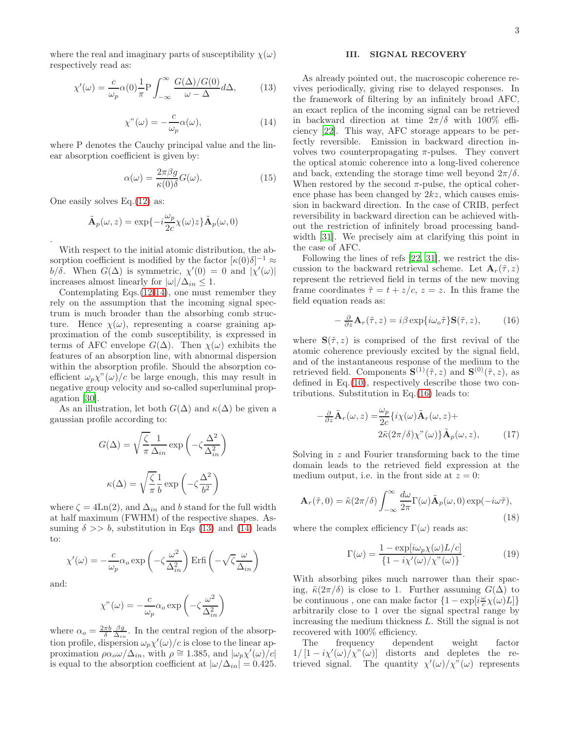where the real and imaginary parts of susceptibility  $\chi(\omega)$ respectively read as:

<span id="page-2-2"></span>
$$
\chi'(\omega) = \frac{c}{\omega_p} \alpha(0) \frac{1}{\pi} P \int_{-\infty}^{\infty} \frac{G(\Delta)/G(0)}{\omega - \Delta} d\Delta, \qquad (13)
$$

<span id="page-2-1"></span>
$$
\chi''(\omega) = -\frac{c}{\omega_p} \alpha(\omega), \tag{14}
$$

where P denotes the Cauchy principal value and the linear absorption coefficient is given by:

<span id="page-2-5"></span>
$$
\alpha(\omega) = \frac{2\pi\beta g}{\kappa(0)\delta} G(\omega).
$$
 (15)

One easily solves Eq.[\(12\)](#page-1-5) as:

.

$$
\tilde{\mathbf{A}}_p(\omega, z) = \exp\{-i\frac{\omega_p}{2c}\chi(\omega)z\}\tilde{\mathbf{A}}_p(\omega, 0)
$$

With respect to the initial atomic distribution, the absorption coefficient is modified by the factor  $[\kappa(0)\delta]^{-1} \approx$ b/δ. When  $G(\Delta)$  is symmetric,  $\chi'(0) = 0$  and  $|\chi'(\omega)|$ increases almost linearly for  $|\omega|/\Delta_{in} \leq 1$ .

Contemplating Eqs.[\(12](#page-1-5)[-14\)](#page-2-1), one must remember they rely on the assumption that the incoming signal spectrum is much broader than the absorbing comb structure. Hence  $\chi(\omega)$ , representing a coarse graining approximation of the comb susceptibility, is expressed in terms of AFC envelope  $G(\Delta)$ . Then  $\chi(\omega)$  exhibits the features of an absorption line, with abnormal dispersion within the absorption profile. Should the absorption coefficient  $\omega_p \chi^{\prime\prime}(\omega)/c$  be large enough, this may result in negative group velocity and so-called superluminal propagation [\[30](#page-6-20)].

As an illustration, let both  $G(\Delta)$  and  $\kappa(\Delta)$  be given a gaussian profile according to:

$$
G(\Delta) = \sqrt{\frac{\zeta}{\pi}} \frac{1}{\Delta_{in}} \exp\left(-\zeta \frac{\Delta^2}{\Delta_{in}^2}\right)
$$

$$
\kappa(\Delta) = \sqrt{\frac{\zeta}{\pi}} \frac{1}{b} \exp\left(-\zeta \frac{\Delta^2}{b^2}\right)
$$

where  $\zeta = 4\text{Ln}(2)$ , and  $\Delta_{in}$  and b stand for the full width at half maximum (FWHM) of the respective shapes. Assuming  $\delta \gg b$ , substitution in Eqs [\(13\)](#page-2-2) and [\(14\)](#page-2-1) leads to:

$$
\chi'(\omega) = -\frac{c}{\omega_p} \alpha_o \exp\left(-\zeta \frac{\omega^2}{\Delta_{in}^2}\right) \operatorname{Erfi}\left(-\sqrt{\zeta} \frac{\omega}{\Delta_{in}}\right)
$$

and:

$$
\chi''(\omega) = -\frac{c}{\omega_p} \alpha_o \exp\left(-\zeta \frac{\omega^2}{\Delta_{in}^2}\right)
$$

where  $\alpha_o = \frac{2\pi b}{\delta} \frac{\beta g}{\Delta_{in}}$ . In the central region of the absorption profile, dispersion  $\omega_p \chi'(\omega)/c$  is close to the linear approximation  $\rho \alpha_o \omega / \Delta_{in}$ , with  $\rho \approx 1.385$ , and  $|\omega_p \chi'(\omega)/c|$ is equal to the absorption coefficient at  $|\omega/\Delta_{in}| = 0.425$ .

#### <span id="page-2-0"></span>III. SIGNAL RECOVERY

As already pointed out, the macroscopic coherence revives periodically, giving rise to delayed responses. In the framework of filtering by an infinitely broad AFC, an exact replica of the incoming signal can be retrieved in backward direction at time  $2\pi/\delta$  with 100% efficiency [\[22\]](#page-6-21). This way, AFC storage appears to be perfectly reversible. Emission in backward direction involves two counterpropagating  $\pi$ -pulses. They convert the optical atomic coherence into a long-lived coherence and back, extending the storage time well beyond  $2\pi/\delta$ . When restored by the second  $\pi$ -pulse, the optical coherence phase has been changed by  $2kz$ , which causes emission in backward direction. In the case of CRIB, perfect reversibility in backward direction can be achieved without the restriction of infinitely broad processing band-width [\[31\]](#page-7-0). We precisely aim at clarifying this point in the case of AFC.

Following the lines of refs [\[22,](#page-6-21) [31](#page-7-0)], we restrict the discussion to the backward retrieval scheme. Let  $\mathbf{A}_r(\tilde{\tau},z)$ represent the retrieved field in terms of the new moving frame coordinates  $\tilde{\tau} = t + z/c$ ,  $z = z$ . In this frame the field equation reads as:

<span id="page-2-3"></span>
$$
-\frac{\partial}{\partial z}\mathbf{A}_r(\tilde{\tau},z) = i\beta \exp\{i\omega_o \tilde{\tau}\} \mathbf{S}(\tilde{\tau},z),\tag{16}
$$

where  $S(\tilde{\tau}, z)$  is comprised of the first revival of the atomic coherence previously excited by the signal field, and of the instantaneous response of the medium to the retrieved field. Components  $\mathbf{S}^{(1)}(\tilde{\tau},z)$  and  $\mathbf{S}^{(0)}(\tilde{\tau},z)$ , as defined in Eq.[\(10\)](#page-1-6), respectively describe those two contributions. Substitution in Eq.[\(16\)](#page-2-3) leads to:

$$
-\frac{\partial}{\partial z}\tilde{\mathbf{A}}_r(\omega, z) = \frac{\omega_p}{2c} \{i\chi(\omega)\tilde{\mathbf{A}}_r(\omega, z) + 2\tilde{\kappa}(2\pi/\delta)\chi''(\omega)\}\tilde{\mathbf{A}}_p(\omega, z),
$$
 (17)

Solving in z and Fourier transforming back to the time domain leads to the retrieved field expression at the medium output, i.e. in the front side at  $z = 0$ :

<span id="page-2-4"></span>
$$
\mathbf{A}_r(\tilde{\tau},0) = \tilde{\kappa}(2\pi/\delta) \int_{-\infty}^{\infty} \frac{d\omega}{2\pi} \Gamma(\omega) \tilde{\mathbf{A}}_p(\omega,0) \exp(-i\omega \tilde{\tau}),\tag{18}
$$

where the complex efficiency  $\Gamma(\omega)$  reads as:

$$
\Gamma(\omega) = \frac{1 - \exp[i\omega_p \chi(\omega) L/c]}{\{1 - i\chi'(\omega)/\chi''(\omega)\}}.
$$
\n(19)

With absorbing pikes much narrower than their spacing,  $\tilde{\kappa}(2\pi/\delta)$  is close to 1. Further assuming  $G(\Delta)$  to be continuous , one can make factor  $\left\{1-\exp[i\frac{\omega}{c}\chi(\omega)L]\right\}$ arbitrarily close to 1 over the signal spectral range by increasing the medium thickness L. Still the signal is not recovered with 100% efficiency.

The frequency dependent weight factor  $1/[1-i\chi'(\omega)/\chi''(\omega)]$  distorts and depletes the retrieved signal. The quantity  $\chi'(\omega)/\chi''(\omega)$  represents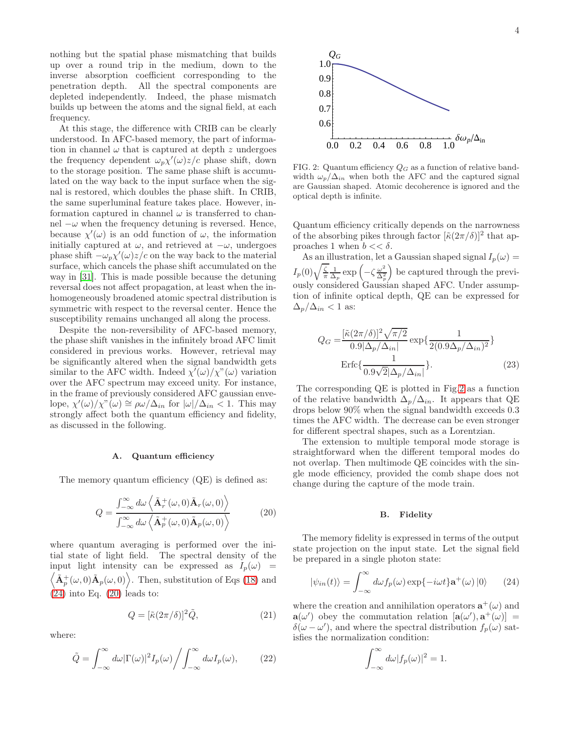nothing but the spatial phase mismatching that builds up over a round trip in the medium, down to the inverse absorption coefficient corresponding to the penetration depth. All the spectral components are depleted independently. Indeed, the phase mismatch builds up between the atoms and the signal field, at each frequency.

At this stage, the difference with CRIB can be clearly understood. In AFC-based memory, the part of information in channel  $\omega$  that is captured at depth z undergoes the frequency dependent  $\omega_p \chi'(\omega) z/c$  phase shift, down to the storage position. The same phase shift is accumulated on the way back to the input surface when the signal is restored, which doubles the phase shift. In CRIB, the same superluminal feature takes place. However, information captured in channel  $\omega$  is transferred to channel  $-\omega$  when the frequency detuning is reversed. Hence, because  $\chi'(\omega)$  is an odd function of  $\omega$ , the information initially captured at  $\omega$ , and retrieved at  $-\omega$ , undergoes phase shift  $-\omega_p \chi'(\omega) z/c$  on the way back to the material surface, which cancels the phase shift accumulated on the way in [\[31\]](#page-7-0). This is made possible because the detuning reversal does not affect propagation, at least when the inhomogeneously broadened atomic spectral distribution is symmetric with respect to the reversal center. Hence the susceptibility remains unchanged all along the process.

Despite the non-reversibility of AFC-based memory, the phase shift vanishes in the infinitely broad AFC limit considered in previous works. However, retrieval may be significantly altered when the signal bandwidth gets similar to the AFC width. Indeed  $\chi'(\omega)/\chi''(\omega)$  variation over the AFC spectrum may exceed unity. For instance, in the frame of previously considered AFC gaussian envelope,  $\chi'(\omega)/\chi''(\omega) \cong \rho \omega/\Delta_{in}$  for  $|\omega|/\Delta_{in} < 1$ . This may strongly affect both the quantum efficiency and fidelity, as discussed in the following.

# A. Quantum efficiency

The memory quantum efficiency  $(QE)$  is defined as:

<span id="page-3-1"></span>
$$
Q = \frac{\int_{-\infty}^{\infty} d\omega \left\langle \tilde{\mathbf{A}}_r^+(\omega, 0) \tilde{\mathbf{A}}_r(\omega, 0) \right\rangle}{\int_{-\infty}^{\infty} d\omega \left\langle \tilde{\mathbf{A}}_p^+(\omega, 0) \tilde{\mathbf{A}}_p(\omega, 0) \right\rangle}
$$
(20)

where quantum averaging is performed over the initial state of light field. The spectral density of the input light intensity can be expressed as  $I_p(\omega)$  =  $\left\langle \tilde{\mathbf{A}}_p^+(\omega,0)\tilde{\mathbf{A}}_p(\omega,0)\right\rangle$ . Then, substitution of Eqs [\(18\)](#page-2-4) and  $(24)$  into Eq.  $(20)$  leads to:

<span id="page-3-3"></span>
$$
Q = [\tilde{\kappa}(2\pi/\delta)]^2 \tilde{Q},\tag{21}
$$

where:

<span id="page-3-4"></span>
$$
\tilde{Q} = \int_{-\infty}^{\infty} d\omega |\Gamma(\omega)|^2 I_p(\omega) / \int_{-\infty}^{\infty} d\omega I_p(\omega), \qquad (22)
$$



<span id="page-3-2"></span>FIG. 2: Quantum efficiency  $Q_G$  as a function of relative bandwidth  $\omega_p/\Delta_{in}$  when both the AFC and the captured signal are Gaussian shaped. Atomic decoherence is ignored and the optical depth is infinite.

Quantum efficiency critically depends on the narrowness of the absorbing pikes through factor  $[\tilde{\kappa}(2\pi/\delta)]^2$  that approaches 1 when  $b \ll \delta$ .

As an illustration, let a Gaussian shaped signal  $I_p(\omega)$  =  $I_p(0)\sqrt{\frac{\zeta}{\pi}}\frac{1}{\Delta_p}\exp\left(-\zeta\frac{\omega^2}{\Delta_p^2}\right)$  $\frac{\omega^2}{\Delta_p^2}$  be captured through the previously considered Gaussian shaped AFC. Under assumption of infinite optical depth, QE can be expressed for  $\Delta_p/\Delta_{in}$  < 1 as:

$$
Q_G = \frac{\left[\tilde{\kappa}(2\pi/\delta)\right]^2 \sqrt{\pi/2}}{0.9|\Delta_p/\Delta_{in}|} \exp\left\{\frac{1}{2(0.9\Delta_p/\Delta_{in})^2}\right\}
$$
  
Erfc $\left\{\frac{1}{0.9\sqrt{2}|\Delta_p/\Delta_{in}|}\right\}$ . (23)

The corresponding QE is plotted in Fig[.2](#page-3-2) as a function of the relative bandwidth  $\Delta_p/\Delta_{in}$ . It appears that QE drops below 90% when the signal bandwidth exceeds 0.3 times the AFC width. The decrease can be even stronger for different spectral shapes, such as a Lorentzian.

The extension to multiple temporal mode storage is straightforward when the different temporal modes do not overlap. Then multimode QE coincides with the single mode efficiency, provided the comb shape does not change during the capture of the mode train.

#### <span id="page-3-5"></span>B. Fidelity

The memory fidelity is expressed in terms of the output state projection on the input state. Let the signal field be prepared in a single photon state:

<span id="page-3-0"></span>
$$
|\psi_{in}(t)\rangle = \int_{-\infty}^{\infty} d\omega f_p(\omega) \exp\{-i\omega t\} \mathbf{a}^+(\omega) |0\rangle \qquad (24)
$$

where the creation and annihilation operators  $\mathbf{a}^+(\omega)$  and  $\mathbf{a}(\omega')$  obey the commutation relation  $[\mathbf{a}(\omega'), \mathbf{a}^+(\omega)] =$  $\delta(\omega - \omega')$ , and where the spectral distribution  $f_p(\omega)$  satisfies the normalization condition:

$$
\int_{-\infty}^{\infty} d\omega |f_p(\omega)|^2 = 1.
$$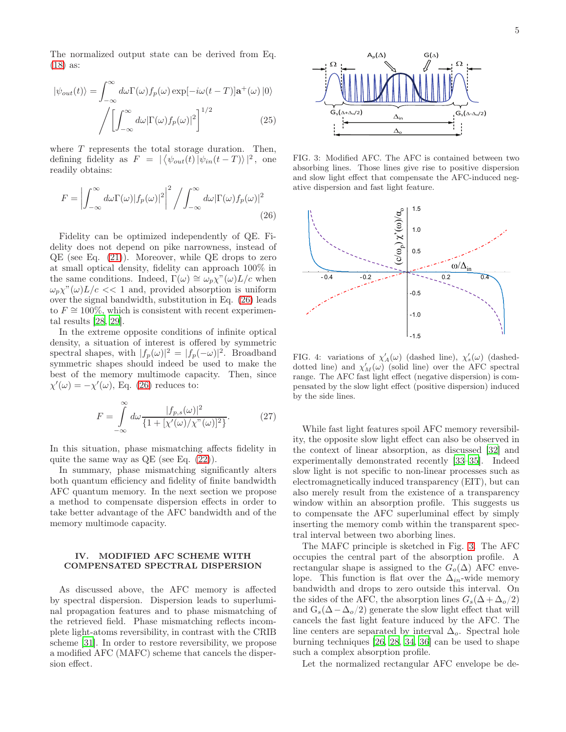The normalized output state can be derived from Eq. [\(18\)](#page-2-4) as:

$$
|\psi_{out}(t)\rangle = \int_{-\infty}^{\infty} d\omega \Gamma(\omega) f_p(\omega) \exp[-i\omega(t-T)] \mathbf{a}^+(\omega) |0\rangle
$$

$$
\int \left[ \int_{-\infty}^{\infty} d\omega |\Gamma(\omega) f_p(\omega)|^2 \right]^{1/2} \tag{25}
$$

where  $T$  represents the total storage duration. Then, defining fidelity as  $F = |\langle \psi_{out}(t) | \psi_{in}(t-T) \rangle|^2$ , one readily obtains:

$$
F = \left| \int_{-\infty}^{\infty} d\omega \Gamma(\omega) |f_p(\omega)|^2 \right|^2 / \int_{-\infty}^{\infty} d\omega |\Gamma(\omega) f_p(\omega)|^2
$$
\n(26)

Fidelity can be optimized independently of QE. Fidelity does not depend on pike narrowness, instead of  $QE$  (see Eq.  $(21)$ ). Moreover, while QE drops to zero at small optical density, fidelity can approach 100% in the same conditions. Indeed,  $\Gamma(\omega) \cong \omega_p \chi^{\gamma}(\omega) L/c$  when  $\omega_p \chi^{\prime\prime}(\omega) L/c \ll 1$  and, provided absorption is uniform over the signal bandwidth, substitution in Eq. [\(26\)](#page-4-1) leads to  $F \approx 100\%$ , which is consistent with recent experimental results [\[28](#page-6-18), [29](#page-6-19)].

In the extreme opposite conditions of infinite optical density, a situation of interest is offered by symmetric spectral shapes, with  $|f_p(\omega)|^2 = |f_p(-\omega)|^2$ . Broadband symmetric shapes should indeed be used to make the best of the memory multimode capacity. Then, since  $\chi'(\omega) = -\chi'(\omega)$ , Eq. [\(26\)](#page-4-1) reduces to:

$$
F = \int_{-\infty}^{\infty} d\omega \frac{|f_{p,s}(\omega)|^2}{\{1 + [\chi'(\omega)/\chi''(\omega)]^2\}}.
$$
 (27)

In this situation, phase mismatching affects fidelity in quite the same way as  $QE$  (see Eq.  $(22)$ ).

In summary, phase mismatching significantly alters both quantum efficiency and fidelity of finite bandwidth AFC quantum memory. In the next section we propose a method to compensate dispersion effects in order to take better advantage of the AFC bandwidth and of the memory multimode capacity.

# <span id="page-4-0"></span>IV. MODIFIED AFC SCHEME WITH COMPENSATED SPECTRAL DISPERSION

As discussed above, the AFC memory is affected by spectral dispersion. Dispersion leads to superluminal propagation features and to phase mismatching of the retrieved field. Phase mismatching reflects incomplete light-atoms reversibility, in contrast with the CRIB scheme [\[31\]](#page-7-0). In order to restore reversibility, we propose a modified AFC (MAFC) scheme that cancels the dispersion effect.



<span id="page-4-2"></span>FIG. 3: Modified AFC. The AFC is contained between two absorbing lines. Those lines give rise to positive dispersion and slow light effect that compensate the AFC-induced negative dispersion and fast light feature.

<span id="page-4-1"></span>

<span id="page-4-3"></span>FIG. 4: variations of  $\chi'_{A}(\omega)$  (dashed line),  $\chi'_{s}(\omega)$  (dasheddotted line) and  $\chi'_{M}(\omega)$  (solid line) over the AFC spectral range. The AFC fast light effect (negative dispersion) is compensated by the slow light effect (positive dispersion) induced by the side lines.

While fast light features spoil AFC memory reversibility, the opposite slow light effect can also be observed in the context of linear absorption, as discussed [\[32\]](#page-7-1) and experimentally demonstrated recently [\[33](#page-7-2)[–35\]](#page-7-3). Indeed slow light is not specific to non-linear processes such as electromagnetically induced transparency (EIT), but can also merely result from the existence of a transparency window within an absorption profile. This suggests us to compensate the AFC superluminal effect by simply inserting the memory comb within the transparent spectral interval between two aborbing lines.

The MAFC principle is sketched in Fig. [3.](#page-4-2) The AFC occupies the central part of the absorption profile. A rectangular shape is assigned to the  $G_o(\Delta)$  AFC envelope. This function is flat over the  $\Delta_{in}$ -wide memory bandwidth and drops to zero outside this interval. On the sides of the AFC, the absorption lines  $G_s(\Delta + \Delta_o/2)$ and  $G_s(\Delta-\Delta_o/2)$  generate the slow light effect that will cancels the fast light feature induced by the AFC. The line centers are separated by interval  $\Delta_o$ . Spectral hole burning techniques [\[26,](#page-6-16) [28,](#page-6-18) [34](#page-7-4), [36](#page-7-5)] can be used to shape such a complex absorption profile.

Let the normalized rectangular AFC envelope be de-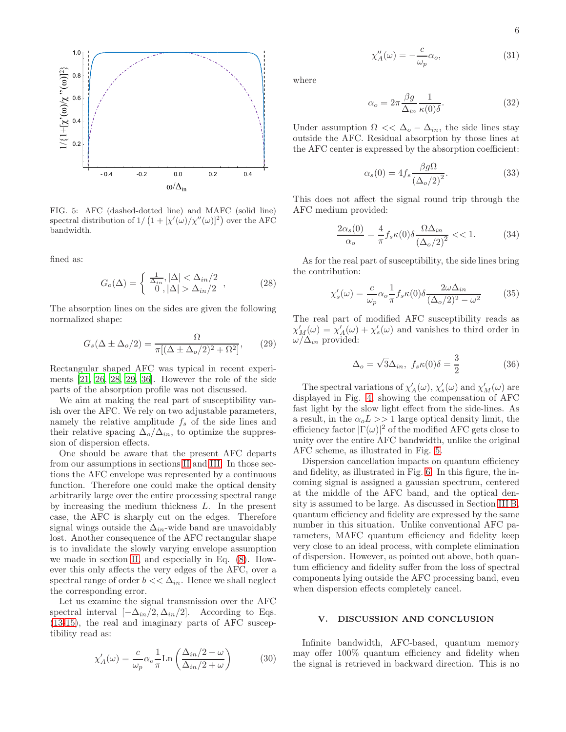

<span id="page-5-0"></span>FIG. 5: AFC (dashed-dotted line) and MAFC (solid line) spectral distribution of  $1/ (1 + [\chi'(\omega)/\chi''(\omega)]^2)$  over the AFC bandwidth.

fined as:

$$
G_o(\Delta) = \begin{cases} \frac{1}{\Delta_{in}}, |\Delta| < \Delta_{in}/2\\ 0, |\Delta| > \Delta_{in}/2 \end{cases},
$$
 (28)

The absorption lines on the sides are given the following normalized shape:

$$
G_s(\Delta \pm \Delta_o/2) = \frac{\Omega}{\pi [(\Delta \pm \Delta_o/2)^2 + \Omega^2]},\qquad(29)
$$

Rectangular shaped AFC was typical in recent experiments [\[21](#page-6-14), [26](#page-6-16), [28,](#page-6-18) [29](#page-6-19), [36\]](#page-7-5). However the role of the side parts of the absorption profile was not discussed.

We aim at making the real part of susceptibility vanish over the AFC. We rely on two adjustable parameters, namely the relative amplitude  $f_s$  of the side lines and their relative spacing  $\Delta_o/\Delta_{in}$ , to optimize the suppression of dispersion effects.

One should be aware that the present AFC departs from our assumptions in sections [II](#page-1-0) and [III.](#page-2-0) In those sections the AFC envelope was represented by a continuous function. Therefore one could make the optical density arbitrarily large over the entire processing spectral range by increasing the medium thickness L. In the present case, the AFC is sharply cut on the edges. Therefore signal wings outside the  $\Delta_{in}$ -wide band are unavoidably lost. Another consequence of the AFC rectangular shape is to invalidate the slowly varying envelope assumption we made in section [II,](#page-1-0) and especially in Eq. [\(8\)](#page-1-7). However this only affects the very edges of the AFC, over a spectral range of order  $b \ll \Delta_{in}$ . Hence we shall neglect the corresponding error.

Let us examine the signal transmission over the AFC spectral interval  $[-\Delta_{in}/2, \Delta_{in}/2]$ . According to Eqs. [\(13-](#page-2-2)[15\)](#page-2-5), the real and imaginary parts of AFC susceptibility read as:

$$
\chi'_{A}(\omega) = \frac{c}{\omega_p} \alpha_o \frac{1}{\pi} \text{Ln}\left(\frac{\Delta_{in}/2 - \omega}{\Delta_{in}/2 + \omega}\right)
$$
(30)

$$
\chi_A''(\omega) = -\frac{c}{\omega_p} \alpha_o,\tag{31}
$$

where

$$
\alpha_o = 2\pi \frac{\beta g}{\Delta_{in}} \frac{1}{\kappa(0)\delta}.
$$
\n(32)

Under assumption  $\Omega \ll \Delta_o - \Delta_{in}$ , the side lines stay outside the AFC. Residual absorption by those lines at the AFC center is expressed by the absorption coefficient:

$$
\alpha_s(0) = 4f_s \frac{\beta g \Omega}{\left(\Delta_o/2\right)^2}.
$$
\n(33)

This does not affect the signal round trip through the AFC medium provided:

$$
\frac{2\alpha_s(0)}{\alpha_o} = \frac{4}{\pi} f_s \kappa(0) \delta \frac{\Omega \Delta_{in}}{\left(\Delta_o/2\right)^2} < 1. \tag{34}
$$

As for the real part of susceptibility, the side lines bring the contribution:

$$
\chi_s'(\omega) = \frac{c}{\omega_p} \alpha_o \frac{1}{\pi} f_s \kappa(0) \delta \frac{2\omega \Delta_{in}}{(\Delta_o/2)^2 - \omega^2}
$$
(35)

The real part of modified AFC susceptibility reads as  $\chi'_{M}(\omega) = \chi'_{A}(\omega) + \chi'_{s}(\omega)$  and vanishes to third order in  $\omega/\Delta_{in}$  provided:

$$
\Delta_o = \sqrt{3}\Delta_{in}, \ f_s \kappa(0)\delta = \frac{3}{2} \tag{36}
$$

The spectral variations of  $\chi'_{A}(\omega)$ ,  $\chi'_{s}(\omega)$  and  $\chi'_{M}(\omega)$  are displayed in Fig. [4,](#page-4-3) showing the compensation of AFC fast light by the slow light effect from the side-lines. As a result, in the  $\alpha_0 L >> 1$  large optical density limit, the efficiency factor  $|\Gamma(\omega)|^2$  of the modified AFC gets close to unity over the entire AFC bandwidth, unlike the original AFC scheme, as illustrated in Fig. [5.](#page-5-0)

Dispersion cancellation impacts on quantum efficiency and fidelity, as illustrated in Fig. [6.](#page-6-22) In this figure, the incoming signal is assigned a gaussian spectrum, centered at the middle of the AFC band, and the optical density is assumed to be large. As discussed in Section [III B,](#page-3-5) quantum efficiency and fidelity are expressed by the same number in this situation. Unlike conventional AFC parameters, MAFC quantum efficiency and fidelity keep very close to an ideal process, with complete elimination of dispersion. However, as pointed out above, both quantum efficiency and fidelity suffer from the loss of spectral components lying outside the AFC processing band, even when dispersion effects completely cancel.

# V. DISCUSSION AND CONCLUSION

Infinite bandwidth, AFC-based, quantum memory may offer 100% quantum efficiency and fidelity when the signal is retrieved in backward direction. This is no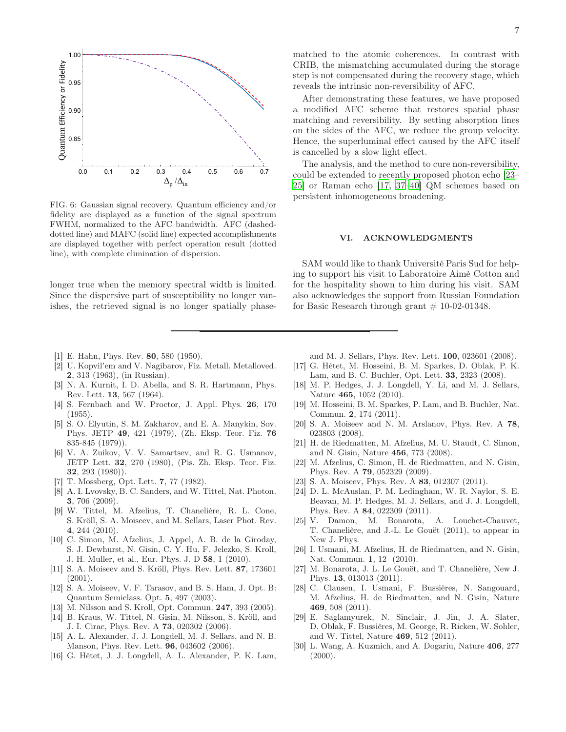

<span id="page-6-22"></span>FIG. 6: Gaussian signal recovery. Quantum efficiency and/or fidelity are displayed as a function of the signal spectrum FWHM, normalized to the AFC bandwidth. AFC (dasheddotted line) and MAFC (solid line) expected accomplishments are displayed together with perfect operation result (dotted line), with complete elimination of dispersion.

longer true when the memory spectral width is limited. Since the dispersive part of susceptibility no longer vanishes, the retrieved signal is no longer spatially phase-

- <span id="page-6-0"></span>[1] E. Hahn, Phys. Rev. 80, 580 (1950).
- [2] U. Kopvil'em and V. Nagibarov, Fiz. Metall. Metalloved. 2, 313 (1963), (in Russian).
- <span id="page-6-1"></span>[3] N. A. Kurnit, I. D. Abella, and S. R. Hartmann, Phys. Rev. Lett. 13, 567 (1964).
- <span id="page-6-2"></span>[4] S. Fernbach and W. Proctor, J. Appl. Phys. 26, 170 (1955).
- [5] S. O. Elyutin, S. M. Zakharov, and E. A. Manykin, Sov. Phys. JETP 49, 421 (1979), (Zh. Eksp. Teor. Fiz. 76 835-845 (1979)).
- [6] V. A. Zuikov, V. V. Samartsev, and R. G. Usmanov, JETP Lett. 32, 270 (1980), (Pis. Zh. Eksp. Teor. Fiz. 32, 293 (1980)).
- <span id="page-6-3"></span>[7] T. Mossberg, Opt. Lett. 7, 77 (1982).
- <span id="page-6-4"></span>[8] A. I. Lvovsky, B. C. Sanders, and W. Tittel, Nat. Photon. 3, 706 (2009).
- [9] W. Tittel, M. Afzelius, T. Chanelière, R. L. Cone, S. Kröll, S. A. Moiseev, and M. Sellars, Laser Phot. Rev. 4, 244 (2010).
- <span id="page-6-5"></span>[10] C. Simon, M. Afzelius, J. Appel, A. B. de la Giroday, S. J. Dewhurst, N. Gisin, C. Y. Hu, F. Jelezko, S. Kroll, J. H. Muller, et al., Eur. Phys. J. D 58, 1 (2010).
- <span id="page-6-6"></span>[11] S. A. Moiseev and S. Kröll, Phys. Rev. Lett. 87, 173601 (2001).
- [12] S. A. Moiseev, V. F. Tarasov, and B. S. Ham, J. Opt. B: Quantum Semiclass. Opt. 5, 497 (2003).
- [13] M. Nilsson and S. Kroll, Opt. Commun. 247, 393 (2005).
- <span id="page-6-7"></span>[14] B. Kraus, W. Tittel, N. Gisin, M. Nilsson, S. Kröll, and J. I. Cirac, Phys. Rev. A 73, 020302 (2006).
- <span id="page-6-8"></span>[15] A. L. Alexander, J. J. Longdell, M. J. Sellars, and N. B. Manson, Phys. Rev. Lett. 96, 043602 (2006).
- <span id="page-6-12"></span>[16] G. Hétet, J. J. Longdell, A. L. Alexander, P. K. Lam,

matched to the atomic coherences. In contrast with CRIB, the mismatching accumulated during the storage step is not compensated during the recovery stage, which reveals the intrinsic non-reversibility of AFC.

After demonstrating these features, we have proposed a modified AFC scheme that restores spatial phase matching and reversibility. By setting absorption lines on the sides of the AFC, we reduce the group velocity. Hence, the superluminal effect caused by the AFC itself is cancelled by a slow light effect.

The analysis, and the method to cure non-reversibility, could be extended to recently proposed photon echo [\[23](#page-6-23)– [25](#page-6-15)] or Raman echo [\[17,](#page-6-9) [37–](#page-7-6)[40\]](#page-7-7) QM schemes based on persistent inhomogeneous broadening.

### VI. ACKNOWLEDGMENTS

SAM would like to thank Université Paris Sud for helping to support his visit to Laboratoire Aimé Cotton and for the hospitality shown to him during his visit. SAM also acknowledges the support from Russian Foundation for Basic Research through grant  $# 10-02-01348$ .

and M. J. Sellars, Phys. Rev. Lett. 100, 023601 (2008).

- <span id="page-6-9"></span>[17] G. Hétet, M. Hosseini, B. M. Sparkes, D. Oblak, P. K. Lam, and B. C. Buchler, Opt. Lett. 33, 2323 (2008).
- <span id="page-6-10"></span>[18] M. P. Hedges, J. J. Longdell, Y. Li, and M. J. Sellars, Nature 465, 1052 (2010).
- <span id="page-6-11"></span>[19] M. Hosseini, B. M. Sparkes, P. Lam, and B. Buchler, Nat. Commun. 2, 174 (2011).
- <span id="page-6-13"></span>[20] S. A. Moiseev and N. M. Arslanov, Phys. Rev. A 78, 023803 (2008).
- <span id="page-6-14"></span>[21] H. de Riedmatten, M. Afzelius, M. U. Staudt, C. Simon, and N. Gisin, Nature 456, 773 (2008).
- <span id="page-6-21"></span>[22] M. Afzelius, C. Simon, H. de Riedmatten, and N. Gisin, Phys. Rev. A 79, 052329 (2009).
- <span id="page-6-23"></span>[23] S. A. Moiseev, Phys. Rev. A 83, 012307 (2011).
- [24] D. L. McAuslan, P. M. Ledingham, W. R. Naylor, S. E. Beavan, M. P. Hedges, M. J. Sellars, and J. J. Longdell, Phys. Rev. A 84, 022309 (2011).
- <span id="page-6-15"></span>[25] V. Damon, M. Bonarota, A. Louchet-Chauvet, T. Chanelière, and J.-L. Le Gouët (2011), to appear in New J. Phys.
- <span id="page-6-16"></span>[26] I. Usmani, M. Afzelius, H. de Riedmatten, and N. Gisin, Nat. Commun. 1, 12 (2010).
- <span id="page-6-17"></span>[27] M. Bonarota, J. L. Le Gouët, and T. Chanelière, New J. Phys. 13, 013013 (2011).
- <span id="page-6-18"></span>[28] C. Clausen, I. Usmani, F. Bussières, N. Sangouard, M. Afzelius, H. de Riedmatten, and N. Gisin, Nature 469, 508 (2011).
- <span id="page-6-19"></span>[29] E. Saglamyurek, N. Sinclair, J. Jin, J. A. Slater, D. Oblak, F. Bussières, M. George, R. Ricken, W. Sohler, and W. Tittel, Nature 469, 512 (2011).
- <span id="page-6-20"></span>[30] L. Wang, A. Kuzmich, and A. Dogariu, Nature 406, 277  $(2000).$